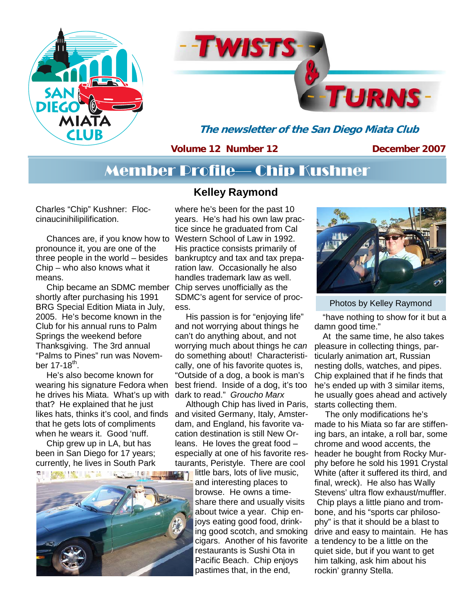



**The newsletter of the San Diego Miata Club** 

**Volume 12 Number 12** 

**December 2007** 

# Member Profile— Chip Kushner

Charles "Chip" Kushner: Floccinaucinihilipilification.

 Chances are, if you know how to pronounce it, you are one of the three people in the world – besides Chip – who also knows what it means.

 Chip became an SDMC member Chip serves unofficially as the shortly after purchasing his 1991 BRG Special Edition Miata in July, 2005. He's become known in the Club for his annual runs to Palm Springs the weekend before Thanksgiving. The 3rd annual "Palms to Pines" run was November  $17-18^{th}$ .

 He's also become known for wearing his signature Fedora when he drives his Miata. What's up with dark to read." *Groucho Marx* that? He explained that he just likes hats, thinks it's cool, and finds that he gets lots of compliments when he wears it. Good 'nuff.

 Chip grew up in LA, but has been in San Diego for 17 years; currently, he lives in South Park



### **Kelley Raymond**

where he's been for the past 10 years. He's had his own law practice since he graduated from Cal Western School of Law in 1992. His practice consists primarily of bankruptcy and tax and tax preparation law. Occasionally he also handles trademark law as well. SDMC's agent for service of process.

 His passion is for "enjoying life" and not worrying about things he can't do anything about, and not worrying much about things he *can* do something about! Characteristically, one of his favorite quotes is, "Outside of a dog, a book is man's best friend. Inside of a dog, it's too

 Although Chip has lived in Paris, and visited Germany, Italy, Amsterdam, and England, his favorite vacation destination is still New Orleans. He loves the great food – especially at one of his favorite restaurants, Peristyle. There are cool

little bars, lots of live music, and interesting places to browse. He owns a timeshare there and usually visits about twice a year. Chip enjoys eating good food, drinking good scotch, and smoking cigars. Another of his favorite restaurants is Sushi Ota in Pacific Beach. Chip enjoys pastimes that, in the end,



Photos by Kelley Raymond

"have nothing to show for it but a damn good time."

At the same time, he also takes pleasure in collecting things, particularly animation art, Russian nesting dolls, watches, and pipes. Chip explained that if he finds that he's ended up with 3 similar items, he usually goes ahead and actively starts collecting them.

 The only modifications he's made to his Miata so far are stiffening bars, an intake, a roll bar, some chrome and wood accents, the header he bought from Rocky Murphy before he sold his 1991 Crystal White (after it suffered its third, and final, wreck). He also has Wally Stevens' ultra flow exhaust/muffler. Chip plays a little piano and trombone, and his "sports car philosophy" is that it should be a blast to drive and easy to maintain. He has a tendency to be a little on the quiet side, but if you want to get him talking, ask him about his rockin' granny Stella.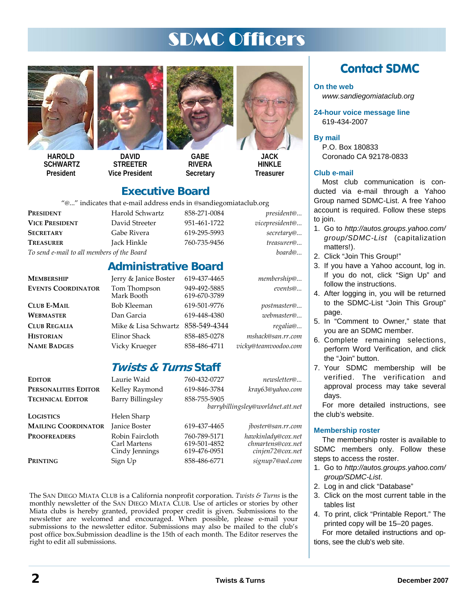# SDMC Officers



**HAROLD SCHWARTZ President** 



**DAVID STREETER Vice President** 



**GABE RIVERA Secretary** 

619-670-3789



**HINKI F Treasurer** 

### **Executive Board**

"@..." indicates that e-mail address ends in @sandiegomiataclub.org

**Administrative Board** 

|                       | C Thuicates that e-mail address ends in Csandiegonialaciup.org |              |                    |
|-----------------------|----------------------------------------------------------------|--------------|--------------------|
| PRESIDENT             | Harold Schwartz                                                | 858-271-0084 | <i>president</i> @ |
| <b>VICE PRESIDENT</b> | David Streeter                                                 | 951-461-1722 | vicepresident@     |
| <b>SECRETARY</b>      | Gabe Rivera                                                    | 619-295-5993 | secretary@         |
| <b>TREASURER</b>      | Jack Hinkle                                                    | 760-735-9456 | treasurer@         |
|                       |                                                                |              |                    |

*To send e-mail to all members of the Board board@...*

**MEMBERSHIP** Jerry & Janice Boster 619-437-4465 *membership@...* **EVENTS COORDINATOR** Tom Thompson 949-492-5885 *events@...*<br>Mark Booth 619-670-3789

**CLUB E-MAIL** Bob Kleeman 619-501-9776 *postmaster@...* **WEBMASTER** Dan Garcia 619-448-4380 *webmaster@...*  **CLUB REGALIA** Mike & Lisa Schwartz 858-549-4344 *regalia@...*

**HISTORIAN** Elinor Shack 858-485-0278 *mshack@san.rr.com* **NAME BADGES** Vicky Krueger 858-486-4711 *vicky@teamvoodoo.com*

# **Twists & Turns Staff**

| Editor                     | Laurie Waid                                       | 760-432-0727                                 | newsletter@                                                 |
|----------------------------|---------------------------------------------------|----------------------------------------------|-------------------------------------------------------------|
| PERSONALITIES EDITOR       | Kelley Raymond                                    | 619-846-3784                                 | kray63@yahoo.com                                            |
| <b>TECHNICAL EDITOR</b>    | <b>Barry Billingsley</b>                          | 858-755-5905                                 |                                                             |
|                            |                                                   |                                              | barrybillingsley@worldnet.att.net                           |
| LOGISTICS                  | Helen Sharp                                       |                                              |                                                             |
| <b>MAILING COORDINATOR</b> | <b>Janice Boster</b>                              | 619-437-4465                                 | jboster@san.rr.com                                          |
| <b>PROOFREADERS</b>        | Robin Faircloth<br>Carl Martens<br>Cindy Jennings | 760-789-5171<br>619-501-4852<br>619-476-0951 | hawkinlady@cox.net<br>chmartens@cox.net<br>cinjen72@cox.net |
| Printing                   | Sign Up                                           | 858-486-6771                                 | signup7@aol.com                                             |

The SAN DIEGO MIATA CLUB is a California nonprofit corporation. *Twists & Turns* is the monthly newsletter of the SAN DIEGO MIATA CLUB. Use of articles or stories by other Miata clubs is hereby granted, provided proper credit is given. Submissions to the newsletter are welcomed and encouraged. When possible, please e-mail your submissions to the newsletter editor. Submissions may also be mailed to the club's post office box.Submission deadline is the 15th of each month. The Editor reserves the right to edit all submissions.

# **Contact SDMC**

#### **On the web**

*www.sandiegomiataclub.org* 

**24-hour voice message line**  619-434-2007

**By mail** 

P.O. Box 180833 Coronado CA 92178-0833

#### **Club e-mail**

Most club communication is conducted via e-mail through a Yahoo Group named SDMC-List. A free Yahoo account is required. Follow these steps to join.

- 1. Go to *http://autos.groups.yahoo.com/ group/SDMC-List* (capitalization matters!).
- 2. Click "Join This Group!"
- 3. If you have a Yahoo account, log in. If you do not, click "Sign Up" and follow the instructions.
- 4. After logging in, you will be returned to the SDMC-List "Join This Group" page.
- 5. In "Comment to Owner," state that you are an SDMC member.
- 6. Complete remaining selections, perform Word Verification, and click the "Join" button.
- 7. Your SDMC membership will be verified. The verification and approval process may take several days.

For more detailed instructions, see the club's website.

#### **Membership roster**

The membership roster is available to SDMC members only. Follow these steps to access the roster.

- 1. Go to *http://autos.groups.yahoo.com/ group/SDMC-List*.
- 2. Log in and click "Database"
- 3. Click on the most current table in the tables list
- 4. To print, click "Printable Report." The printed copy will be 15–20 pages. For more detailed instructions and options, see the club's web site.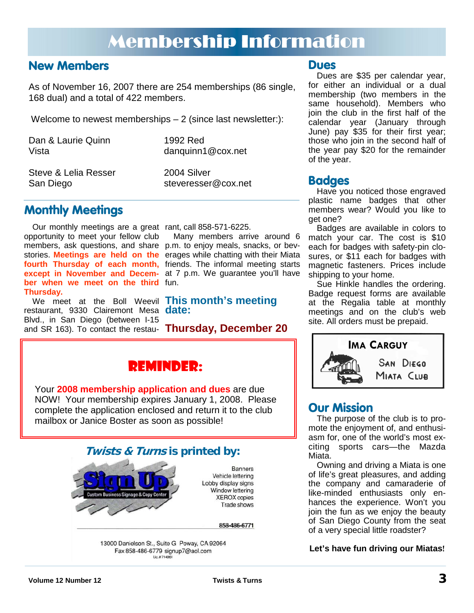# Membership Information

## **New Members**

As of November 16, 2007 there are 254 memberships (86 single, 168 dual) and a total of 422 members.

Welcome to newest memberships – 2 (since last newsletter:):

Dan & Laurie Quinn 1992 Red

Vista danquinn1@cox.net

Steve & Lelia Resser 2004 Silver

San Diego steveresser@cox.net

## **Monthly Meetings**

Our monthly meetings are a great rant, call 858-571-6225. opportunity to meet your fellow club members, ask questions, and share p.m. to enjoy meals, snacks, or bevstories. **Meetings are held on the**  erages while chatting with their Miata fourth Thursday of each month, friends. The informal meeting starts **except in November and Decem-** at 7 p.m. We guarantee you'll have ber when we meet on the third fun. **Thursday.**

We meet at the Boll Weevil **This month's meeting**  restaurant, 9330 Clairemont Mesa **date:**  Blvd., in San Diego (between I-15 and SR 163). To contact the restau-**Thursday, December 20** 

Many members arrive around 6

# REMINDER:

Your **2008 membership application and dues** are due NOW! Your membership expires January 1, 2008. Please complete the application enclosed and return it to the club mailbox or Janice Boster as soon as possible!



#### **Dues**

Dues are \$35 per calendar year, for either an individual or a dual membership (two members in the same household). Members who join the club in the first half of the calendar year (January through June) pay \$35 for their first year; those who join in the second half of the year pay \$20 for the remainder of the year.

### **Badges**

Have you noticed those engraved plastic name badges that other members wear? Would you like to get one?

Badges are available in colors to match your car. The cost is \$10 each for badges with safety-pin closures, or \$11 each for badges with magnetic fasteners. Prices include shipping to your home.

Sue Hinkle handles the ordering. Badge request forms are available at the Regalia table at monthly meetings and on the club's web site. All orders must be prepaid.



## **Our Mission**

The purpose of the club is to promote the enjoyment of, and enthusiasm for, one of the world's most exciting sports cars—the Mazda Miata.

Owning and driving a Miata is one of life's great pleasures, and adding the company and camaraderie of like-minded enthusiasts only enhances the experience. Won't you join the fun as we enjoy the beauty of San Diego County from the seat of a very special little roadster?

#### **Let's have fun driving our Miatas!**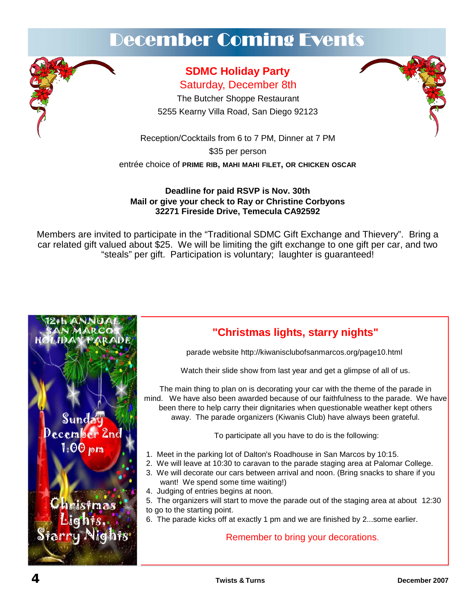# December Coming Events



The Butcher Shoppe Restaurant 5255 Kearny Villa Road, San Diego 92123

Reception/Cocktails from 6 to 7 PM, Dinner at 7 PM

\$35 per person

entrée choice of **PRIME RIB, MAHI MAHI FILET, OR CHICKEN OSCAR**

#### **Deadline for paid RSVP is Nov. 30th Mail or give your check to Ray or Christine Corbyons 32271 Fireside Drive, Temecula CA92592**

Members are invited to participate in the "Traditional SDMC Gift Exchange and Thievery". Bring a car related gift valued about \$25. We will be limiting the gift exchange to one gift per car, and two "steals" per gift. Participation is voluntary; laughter is guaranteed!



# **"Christmas lights, starry nights"**

parade website http://kiwanisclubofsanmarcos.org/page10.html

Watch their slide show from last year and get a glimpse of all of us.

The main thing to plan on is decorating your car with the theme of the parade in mind. We have also been awarded because of our faithfulness to the parade. We have been there to help carry their dignitaries when questionable weather kept others away. The parade organizers (Kiwanis Club) have always been grateful.

To participate all you have to do is the following:

- 1. Meet in the parking lot of Dalton's Roadhouse in San Marcos by 10:15.
- 2. We will leave at 10:30 to caravan to the parade staging area at Palomar College.
- 3. We will decorate our cars between arrival and noon. (Bring snacks to share if you want! We spend some time waiting!)
- 4. Judging of entries begins at noon.
- 5. The organizers will start to move the parade out of the staging area at about 12:30
- to go to the starting point.

6. The parade kicks off at exactly 1 pm and we are finished by 2...some earlier.

### Remember to bring your decorations.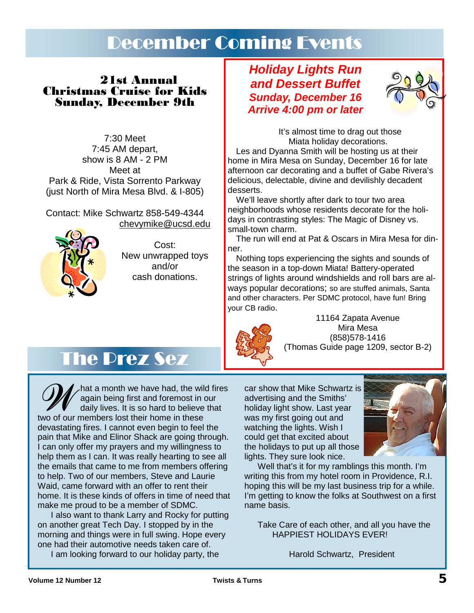# December Coming Events

 21st Annual Christmas Cruise for Kids Sunday, December 9th

7:30 Meet 7:45 AM depart, show is 8 AM - 2 PM Meet at Park & Ride, Vista Sorrento Parkway (just North of Mira Mesa Blvd. & I-805)

Contact: Mike Schwartz 858-549-4344 chevymike@ucsd.edu



Cost: New unwrapped toys and/or cash donations.

*Holiday Lights Run and Dessert Buffet Sunday, December 16 Arrive 4:00 pm or later* 



 It's almost time to drag out those Miata holiday decorations.

Les and Dyanna Smith will be hosting us at their home in Mira Mesa on Sunday, December 16 for late afternoon car decorating and a buffet of Gabe Rivera's delicious, delectable, divine and devilishly decadent desserts.

We'll leave shortly after dark to tour two area neighborhoods whose residents decorate for the holidays in contrasting styles: The Magic of Disney vs. small-town charm.

The run will end at Pat & Oscars in Mira Mesa for dinner.

Nothing tops experiencing the sights and sounds of the season in a top-down Miata! Battery-operated strings of lights around windshields and roll bars are always popular decorations; so are stuffed animals, Santa and other characters. Per SDMC protocol, have fun! Bring your CB radio.



11164 Zapata Avenue Mira Mesa (858)578-1416 (Thomas Guide page 1209, sector B-2)

# The Prez Sez

W hat a month we have had, the wild fires<br>
again being first and foremost in our<br>
daily lives. It is so hard to believe that<br>
two of our members lost their home in these again being first and foremost in our daily lives. It is so hard to believe that devastating fires. I cannot even begin to feel the pain that Mike and Elinor Shack are going through. I can only offer my prayers and my willingness to help them as I can. It was really hearting to see all the emails that came to me from members offering to help. Two of our members, Steve and Laurie Waid, came forward with an offer to rent their home. It is these kinds of offers in time of need that make me proud to be a member of SDMC.

 I also want to thank Larry and Rocky for putting on another great Tech Day. I stopped by in the morning and things were in full swing. Hope every one had their automotive needs taken care of.

I am looking forward to our holiday party, the

car show that Mike Schwartz is advertising and the Smiths' holiday light show. Last year was my first going out and watching the lights. Wish I could get that excited about the holidays to put up all those lights. They sure look nice.



 Well that's it for my ramblings this month. I'm writing this from my hotel room in Providence, R.I. hoping this will be my last business trip for a while. I'm getting to know the folks at Southwest on a first name basis.

 Take Care of each other, and all you have the HAPPIEST HOLIDAYS EVER!

Harold Schwartz, President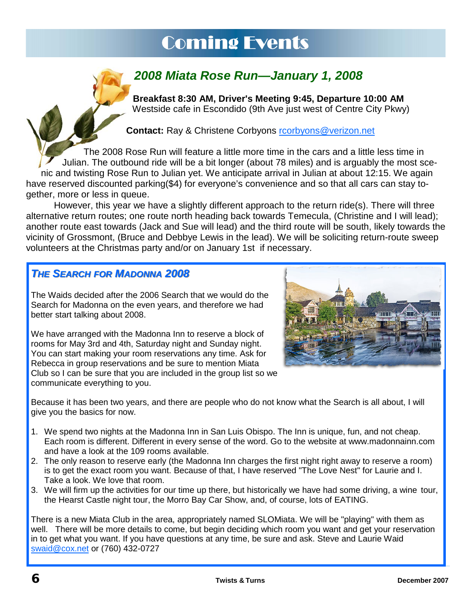# Coming Events

*2008 Miata Rose Run—January 1, 2008* 

**Breakfast 8:30 AM, Driver's Meeting 9:45, Departure 10:00 AM**  Westside cafe in Escondido (9th Ave just west of Centre City Pkwy)

**Contact:** Ray & Christene Corbyons rcorbyons@verizon.net

The 2008 Rose Run will feature a little more time in the cars and a little less time in Julian. The outbound ride will be a bit longer (about 78 miles) and is arguably the most scenic and twisting Rose Run to Julian yet. We anticipate arrival in Julian at about 12:15. We again have reserved discounted parking(\$4) for everyone's convenience and so that all cars can stay together, more or less in queue.

 However, this year we have a slightly different approach to the return ride(s). There will three alternative return routes; one route north heading back towards Temecula, (Christine and I will lead); another route east towards (Jack and Sue will lead) and the third route will be south, likely towards the vicinity of Grossmont, (Bruce and Debbye Lewis in the lead). We will be soliciting return-route sweep volunteers at the Christmas party and/or on January 1st if necessary.

## *THE SEARCH FOR MADONNA 2008*

The Waids decided after the 2006 Search that we would do the Search for Madonna on the even years, and therefore we had better start talking about 2008.

We have arranged with the Madonna Inn to reserve a block of rooms for May 3rd and 4th, Saturday night and Sunday night. You can start making your room reservations any time. Ask for Rebecca in group reservations and be sure to mention Miata Club so I can be sure that you are included in the group list so we communicate everything to you.

Because it has been two years, and there are people who do not know what the Search is all about, I will give you the basics for now.

- 1. We spend two nights at the Madonna Inn in San Luis Obispo. The Inn is unique, fun, and not cheap. Each room is different. Different in every sense of the word. Go to the website at www.madonnainn.com and have a look at the 109 rooms available.
- 2. The only reason to reserve early (the Madonna Inn charges the first night right away to reserve a room) is to get the exact room you want. Because of that, I have reserved "The Love Nest" for Laurie and I. Take a look. We love that room.
- 3. We will firm up the activities for our time up there, but historically we have had some driving, a wine tour, the Hearst Castle night tour, the Morro Bay Car Show, and, of course, lots of EATING.

There is a new Miata Club in the area, appropriately named SLOMiata. We will be "playing" with them as well. There will be more details to come, but begin deciding which room you want and get your reservation in to get what you want. If you have questions at any time, be sure and ask. Steve and Laurie Waid swaid@cox.net or (760) 432-0727

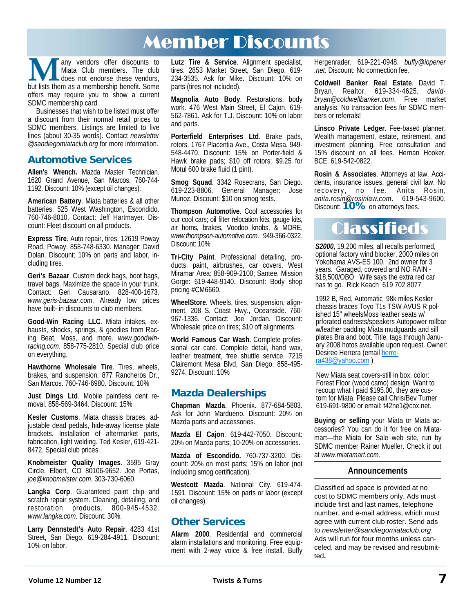# Member Discounts

**M** any vendors offer discounts to Milata Club members. The club does not endorse these vendors, but lists them as a membership benefit. Some Miata Club members. The club does not endorse these vendors, offers may require you to show a current SDMC membership card.

Businesses that wish to be listed must offer a discount from their normal retail prices to SDMC members. Listings are limited to five lines (about 30-35 words). Contact *newsletter @sandiegomiataclub.org* for more information.

### **Automotive Services**

**Allen's Wrench.** Mazda Master Technician. 1620 Grand Avenue, San Marcos. 760-744- 1192. Discount: 10% (except oil changes).

**American Battery**. Miata batteries & all other batteries. 525 West Washington, Escondido. 760-746-8010. Contact: Jeff Hartmayer. Discount: Fleet discount on all products.

**Express Tire**. Auto repair, tires. 12619 Poway Road, Poway. 858-748-6330. Manager: David Dolan. Discount: 10% on parts and labor, including tires.

**Geri's Bazaar**. Custom deck bags, boot bags, travel bags. Maximize the space in your trunk. Contact: Geri Causarano. 828-400-1673. *www.geris-bazaar.com*. Already low prices have built- in discounts to club members.

**Good-Win Racing LLC**. Miata intakes, exhausts, shocks, springs, & goodies from Racing Beat, Moss, and more. *www.goodwin*racing.com. 858-775-2810. Special club price on everything.

**Hawthorne Wholesale Tire**. Tires, wheels, brakes, and suspension. 877 Rancheros Dr., San Marcos. 760-746-6980. Discount: 10%

**Just Dings Ltd**. Mobile paintless dent removal. 858-569-3464. Discount: 15%

**Kesler Customs**. Miata chassis braces, adjustable dead pedals, hide-away license plate brackets. Installation of aftermarket parts, fabrication, light welding. Ted Kesler, 619-421- 8472. Special club prices.

**Knobmeister Quality Images**. 3595 Gray Circle, Elbert, CO 80106-9652. Joe Portas, *joe@knobmeister.com*. 303-730-6060.

**Langka Corp**. Guaranteed paint chip and scratch repair system. Cleaning, detailing, and restoration products. 800-945-4532. *www.langka.com*. Discount: 30%.

**Larry Dennstedt's Auto Repair**. 4283 41st Street, San Diego. 619-284-4911. Discount: 10% on labor.

**Lutz Tire & Service**. Alignment specialist, tires. 2853 Market Street, San Diego. 619- 234-3535. Ask for Mike. Discount: 10% on parts (tires not included).

**Magnolia Auto Body**. Restorations, body work. 476 West Main Street, El Cajon. 619- 562-7861. Ask for T.J. Discount: 10% on labor and parts.

**Porterfield Enterprises Ltd**. Brake pads, rotors. 1767 Placentia Ave., Costa Mesa. 949- 548-4470. Discount: 15% on Porter-field & Hawk brake pads; \$10 off rotors; \$9.25 for Motul 600 brake fluid (1 pint).

**Smog Squad**. 3342 Rosecrans, San Diego. 619-223-8806. General Manager: Jose Munoz. Discount: \$10 on smog tests.

**Thompson Automotive**. Cool accessories for our cool cars; oil filter relocation kits, gauge kits, air horns, brakes, Voodoo knobs, & MORE. *www.thompson-automotive.com*. 949-366-0322. Discount: 10%

**Tri-City Paint**. Professional detailing, products, paint, airbrushes, car covers. West Miramar Area: 858-909-2100; Santee, Mission Gorge: 619-448-9140. Discount: Body shop pricing #CM6660.

**WheelStore**. Wheels, tires, suspension, alignment. 208 S. Coast Hwy., Oceanside. 760- 967-1336. Contact: Joe Jordan. Discount: Wholesale price on tires; \$10 off alignments.

**World Famous Car Wash**. Complete professional car care. Complete detail, hand wax, leather treatment, free shuttle service. 7215 Clairemont Mesa Blvd, San Diego. 858-495- 9274. Discount: 10%

### **Mazda Dealerships**

**Chapman Mazda**. Phoenix. 877-684-5803. Ask for John Mardueno. Discount: 20% on Mazda parts and accessories.

**Mazda El Cajon**. 619-442-7050. Discount: 20% on Mazda parts; 10-20% on accessories.

**Mazda of Escondido.** 760-737-3200. Discount: 20% on most parts; 15% on labor (not including smog certification).

**Westcott Mazda**. National City. 619-474- 1591. Discount: 15% on parts or labor (except oil changes).

### **Other Services**

**Alarm 2000**. Residential and commercial alarm installations and monitoring. Free equipment with 2-way voice & free install. Buffy Hergenrader, 619-221-0948. *buffy@iopener .net*. Discount: No connection fee.

**Coldwell Banker Real Estate**. David T. Bryan, Realtor. 619-334-4625. *davidbryan@coldwellbanker.com*. Free market analysis. No transaction fees for SDMC members or referrals!

**Linsco Private Ledger**. Fee-based planner. Wealth management, estate, retirement, and investment planning. Free consultation and 15% discount on all fees. Hernan Hooker, BCE. 619-542-0822.

**Rosin & Associates**. Attorneys at law. Accidents, insurance issues, general civil law. No recovery, no fee. Anita Rosin, *anita.rosin@rosinlaw.com*. 619-543-9600. Discount: **10%** on attorneys fees.

# **Classifieds**

*S2000,* 19,200 miles, all recalls performed, optional factory wind blocker, 2000 miles on Yokohama AVS-ES 100. 2nd owner for 3 years. Garaged, covered and NO RAIN - \$18,500/OBO Wife says the extra red car has to go. Rick Keach 619 702 8077

1992 B, Red, Automatic 98k miles Kesler chassis braces Toyo T1s TSW AVUS R polished 15" wheelsMoss leather seats w/ prforated eadrests/speakers Autopower rollbar w/leather padding Miata mudguards and sill plates Bra and boot. Title, tags through January 2008 hotos available upon request. Owner: Desiree Herrera (email herrera438@yahoo.com )

New Miata seat covers-still in box. color: Forest Floor (wood camo) design. Want to recoup what I paid \$195.00, they are custom for Miata. Please call Chris/Bev Turner 619-691-9800 or email: t42ne1@cox.net.

**Buying or selling** your Miata or Miata accessories? You can do it for free on Miatamart—the Miata for Sale web site, run by SDMC member Rainer Mueller. Check it out at *www.miatamart.com*.

#### **Announcements**

Classified ad space is provided at no cost to SDMC members only. Ads must include first and last names, telephone number, and e-mail address, which must agree with current club roster. Send ads to *newsletter@sandiegomiataclub.org*. Ads will run for four months unless canceled, and may be revised and resubmitted**.**